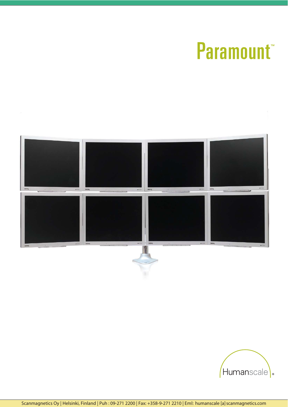# **Paramount**



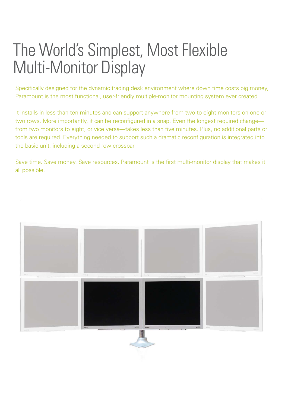### The World's Simplest, Most Flexible Multi-Monitor Display

Specifically designed for the dynamic trading desk environment where down time costs big money, Paramount is the most functional, user-friendly multiple-monitor mounting system ever created.

It installs in less than ten minutes and can support anywhere from two to eight monitors on one or two rows. More importantly, it can be reconfigured in a snap. Even the longest required change from two monitors to eight, or vice versa—takes less than five minutes. Plus, no additional parts or tools are required. Everything needed to support such a dramatic reconfiguration is integrated into the basic unit, including a second-row crossbar.

Save time. Save money. Save resources. Paramount is the first multi-monitor display that makes it all possible.

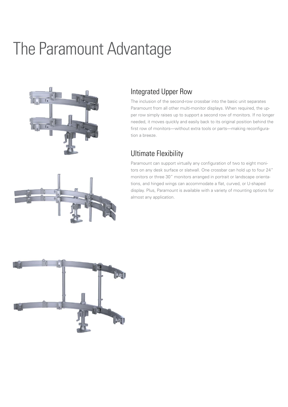## The Paramount Advantage



#### Integrated Upper Row

The inclusion of the second-row crossbar into the basic unit separates Paramount from all other multi-monitor displays. When required, the upper row simply raises up to support a second row of monitors. If no longer needed, it moves quickly and easily back to its original position behind the first row of monitors—without extra tools or parts—making reconfiguration a breeze.

#### Ultimate Flexibility

Paramount can support virtually any configuration of two to eight monitors on any desk surface or slatwall. One crossbar can hold up to four 24" monitors or three 30" monitors arranged in portrait or landscape orientations, and hinged wings can accommodate a flat, curved, or U-shaped display. Plus, Paramount is available with a variety of mounting options for almost any application.